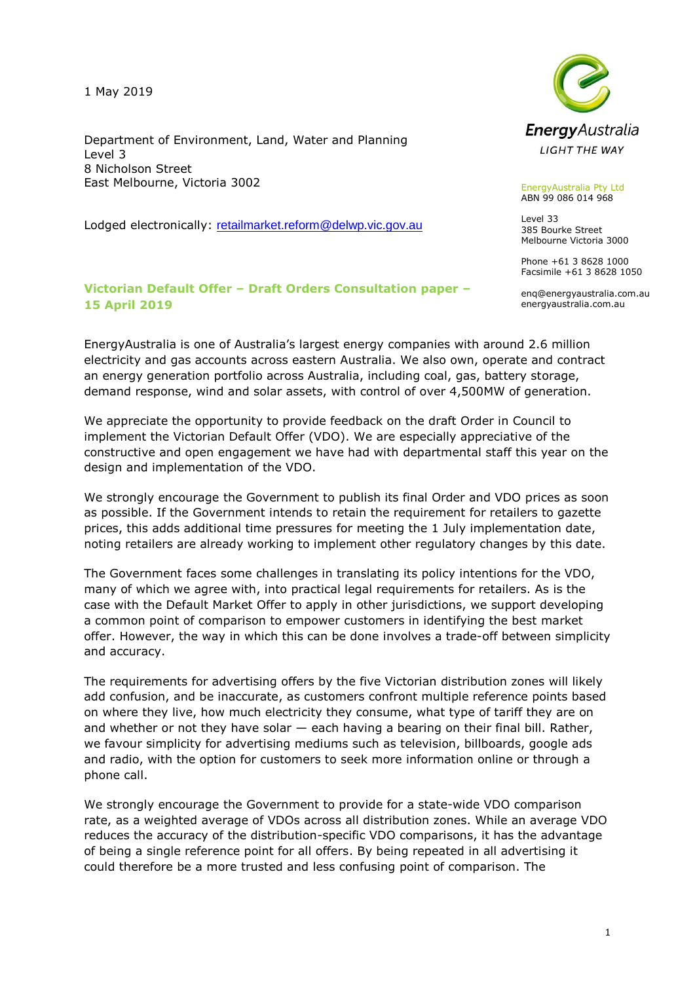1 May 2019

Department of Environment, Land, Water and Planning Level 3 8 Nicholson Street East Melbourne, Victoria 3002

Lodged electronically: retailmarket.reform@delwp.vic.gov.au

### **Victorian Default Offer – Draft Orders Consultation paper – 15 April 2019**



EnergyAustralia Pty Ltd ABN 99 086 014 968

Level 33 385 Bourke Street Melbourne Victoria 3000

Phone +61 3 8628 1000 Facsimile +61 3 8628 1050

enq@energyaustralia.com.au energyaustralia.com.au

EnergyAustralia is one of Australia's largest energy companies with around 2.6 million electricity and gas accounts across eastern Australia. We also own, operate and contract an energy generation portfolio across Australia, including coal, gas, battery storage, demand response, wind and solar assets, with control of over 4,500MW of generation.

We appreciate the opportunity to provide feedback on the draft Order in Council to implement the Victorian Default Offer (VDO). We are especially appreciative of the constructive and open engagement we have had with departmental staff this year on the design and implementation of the VDO.

We strongly encourage the Government to publish its final Order and VDO prices as soon as possible. If the Government intends to retain the requirement for retailers to gazette prices, this adds additional time pressures for meeting the 1 July implementation date, noting retailers are already working to implement other regulatory changes by this date.

The Government faces some challenges in translating its policy intentions for the VDO, many of which we agree with, into practical legal requirements for retailers. As is the case with the Default Market Offer to apply in other jurisdictions, we support developing a common point of comparison to empower customers in identifying the best market offer. However, the way in which this can be done involves a trade-off between simplicity and accuracy.

The requirements for advertising offers by the five Victorian distribution zones will likely add confusion, and be inaccurate, as customers confront multiple reference points based on where they live, how much electricity they consume, what type of tariff they are on and whether or not they have solar — each having a bearing on their final bill. Rather, we favour simplicity for advertising mediums such as television, billboards, google ads and radio, with the option for customers to seek more information online or through a phone call.

We strongly encourage the Government to provide for a state-wide VDO comparison rate, as a weighted average of VDOs across all distribution zones. While an average VDO reduces the accuracy of the distribution-specific VDO comparisons, it has the advantage of being a single reference point for all offers. By being repeated in all advertising it could therefore be a more trusted and less confusing point of comparison. The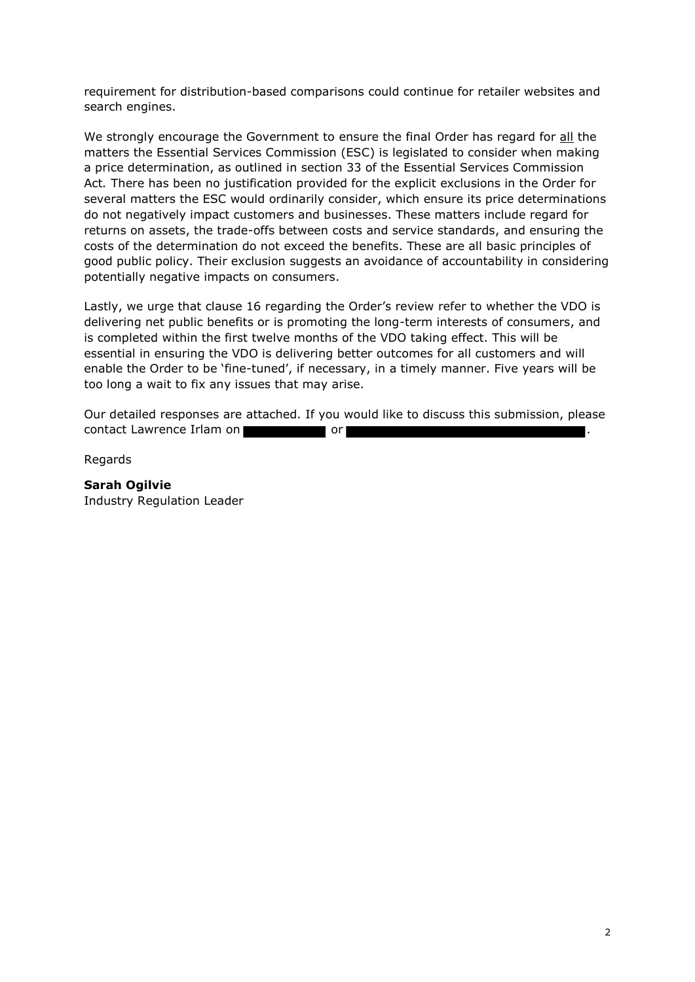requirement for distribution-based comparisons could continue for retailer websites and search engines.

We strongly encourage the Government to ensure the final Order has regard for all the matters the Essential Services Commission (ESC) is legislated to consider when making a price determination, as outlined in section 33 of the Essential Services Commission Act*.* There has been no justification provided for the explicit exclusions in the Order for several matters the ESC would ordinarily consider, which ensure its price determinations do not negatively impact customers and businesses. These matters include regard for returns on assets, the trade-offs between costs and service standards, and ensuring the costs of the determination do not exceed the benefits. These are all basic principles of good public policy. Their exclusion suggests an avoidance of accountability in considering potentially negative impacts on consumers.

Lastly, we urge that clause 16 regarding the Order's review refer to whether the VDO is delivering net public benefits or is promoting the long-term interests of consumers, and is completed within the first twelve months of the VDO taking effect. This will be essential in ensuring the VDO is delivering better outcomes for all customers and will enable the Order to be 'fine-tuned', if necessary, in a timely manner. Five years will be too long a wait to fix any issues that may arise.

Our detailed responses are attached. If you would like to discuss this submission, please contact Lawrence Irlam on **a struck of the contact** or

Regards

**Sarah Ogilvie** Industry Regulation Leader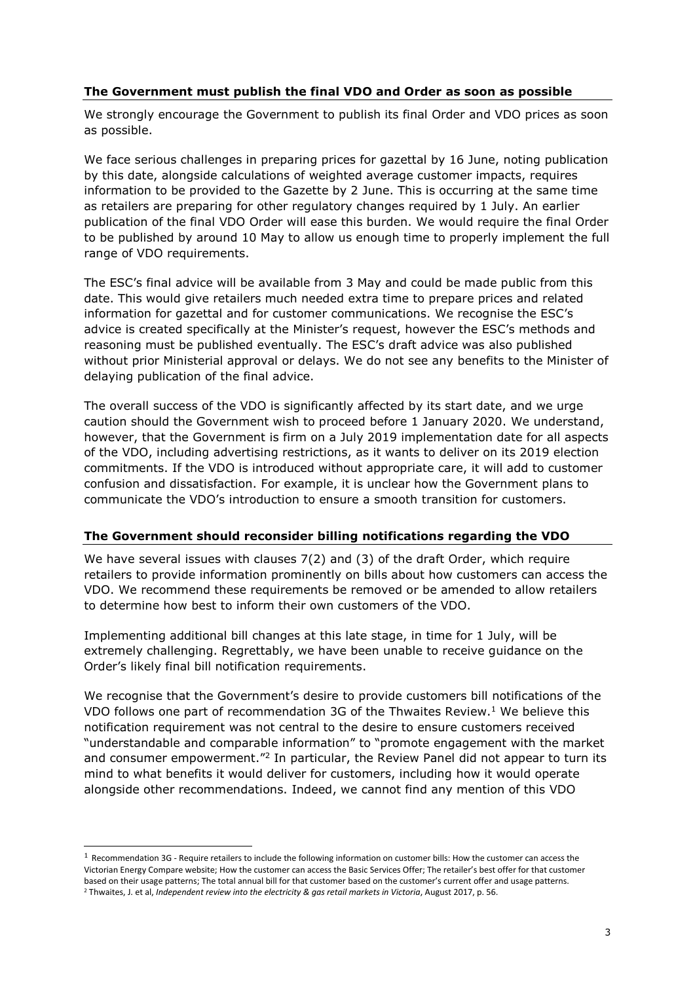### **The Government must publish the final VDO and Order as soon as possible**

We strongly encourage the Government to publish its final Order and VDO prices as soon as possible.

We face serious challenges in preparing prices for gazettal by 16 June, noting publication by this date, alongside calculations of weighted average customer impacts, requires information to be provided to the Gazette by 2 June. This is occurring at the same time as retailers are preparing for other regulatory changes required by 1 July. An earlier publication of the final VDO Order will ease this burden. We would require the final Order to be published by around 10 May to allow us enough time to properly implement the full range of VDO requirements.

The ESC's final advice will be available from 3 May and could be made public from this date. This would give retailers much needed extra time to prepare prices and related information for gazettal and for customer communications. We recognise the ESC's advice is created specifically at the Minister's request, however the ESC's methods and reasoning must be published eventually. The ESC's draft advice was also published without prior Ministerial approval or delays. We do not see any benefits to the Minister of delaying publication of the final advice.

The overall success of the VDO is significantly affected by its start date, and we urge caution should the Government wish to proceed before 1 January 2020. We understand, however, that the Government is firm on a July 2019 implementation date for all aspects of the VDO, including advertising restrictions, as it wants to deliver on its 2019 election commitments. If the VDO is introduced without appropriate care, it will add to customer confusion and dissatisfaction. For example, it is unclear how the Government plans to communicate the VDO's introduction to ensure a smooth transition for customers.

### **The Government should reconsider billing notifications regarding the VDO**

We have several issues with clauses 7(2) and (3) of the draft Order, which require retailers to provide information prominently on bills about how customers can access the VDO. We recommend these requirements be removed or be amended to allow retailers to determine how best to inform their own customers of the VDO.

Implementing additional bill changes at this late stage, in time for 1 July, will be extremely challenging. Regrettably, we have been unable to receive guidance on the Order's likely final bill notification requirements.

We recognise that the Government's desire to provide customers bill notifications of the VDO follows one part of recommendation 3G of the Thwaites Review. <sup>1</sup> We believe this notification requirement was not central to the desire to ensure customers received "understandable and comparable information" to "promote engagement with the market and consumer empowerment.<sup>"2</sup> In particular, the Review Panel did not appear to turn its mind to what benefits it would deliver for customers, including how it would operate alongside other recommendations. Indeed, we cannot find any mention of this VDO

i,

 $1$  Recommendation 3G - Require retailers to include the following information on customer bills: How the customer can access the Victorian Energy Compare website; How the customer can access the Basic Services Offer; The retailer's best offer for that customer based on their usage patterns; The total annual bill for that customer based on the customer's current offer and usage patterns. <sup>2</sup> Thwaites, J. et al, *Independent review into the electricity & gas retail markets in Victoria*, August 2017, p. 56.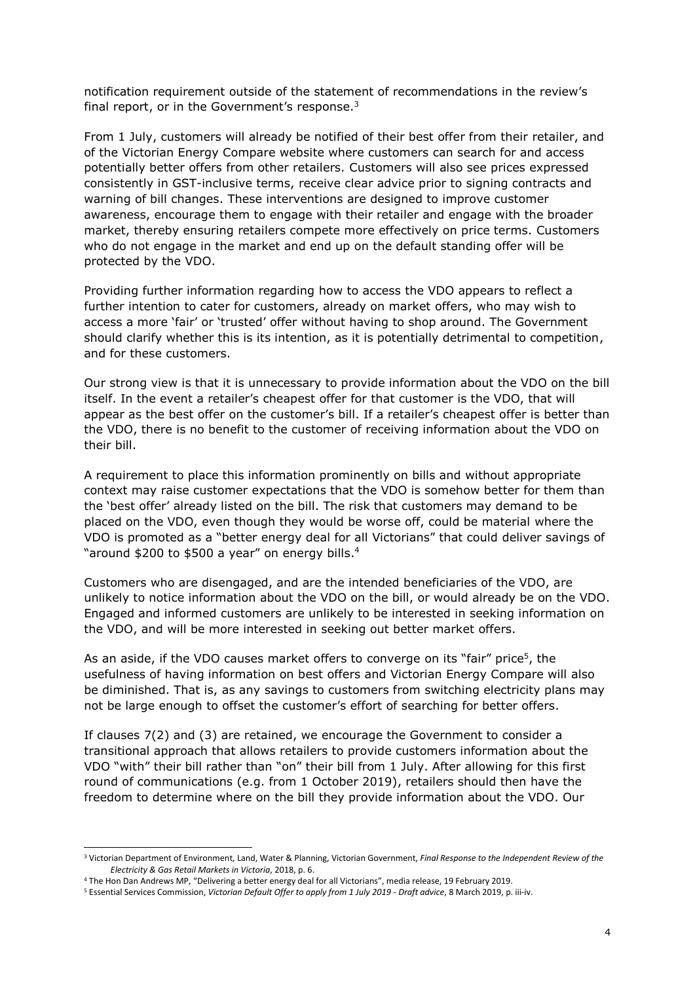notification requirement outside of the statement of recommendations in the review's final report, or in the Government's response.<sup>3</sup>

From 1 July, customers will already be notified of their best offer from their retailer, and of the Victorian Energy Compare website where customers can search for and access potentially better offers from other retailers. Customers will also see prices expressed consistently in GST-inclusive terms, receive clear advice prior to signing contracts and warning of bill changes. These interventions are designed to improve customer awareness, encourage them to engage with their retailer and engage with the broader market, thereby ensuring retailers compete more effectively on price terms. Customers who do not engage in the market and end up on the default standing offer will be protected by the VDO.

Providing further information regarding how to access the VDO appears to reflect a further intention to cater for customers, already on market offers, who may wish to access a more 'fair' or 'trusted' offer without having to shop around. The Government should clarify whether this is its intention, as it is potentially detrimental to competition, and for these customers.

Our strong view is that it is unnecessary to provide information about the VDO on the bill itself. In the event a retailer's cheapest offer for that customer is the VDO, that will appear as the best offer on the customer's bill. If a retailer's cheapest offer is better than the VDO, there is no benefit to the customer of receiving information about the VDO on their bill.

A requirement to place this information prominently on bills and without appropriate context may raise customer expectations that the VDO is somehow better for them than the 'best offer' already listed on the bill. The risk that customers may demand to be placed on the VDO, even though they would be worse off, could be material where the VDO is promoted as a "better energy deal for all Victorians" that could deliver savings of "around \$200 to \$500 a year" on energy bills. 4

Customers who are disengaged, and are the intended beneficiaries of the VDO, are unlikely to notice information about the VDO on the bill, or would already be on the VDO. Engaged and informed customers are unlikely to be interested in seeking information on the VDO, and will be more interested in seeking out better market offers.

As an aside, if the VDO causes market offers to converge on its "fair" price<sup>5</sup>, the usefulness of having information on best offers and Victorian Energy Compare will also be diminished. That is, as any savings to customers from switching electricity plans may not be large enough to offset the customer's effort of searching for better offers.

If clauses 7(2) and (3) are retained, we encourage the Government to consider a transitional approach that allows retailers to provide customers information about the VDO "with" their bill rather than "on" their bill from 1 July. After allowing for this first round of communications (e.g. from 1 October 2019), retailers should then have the freedom to determine where on the bill they provide information about the VDO. Our

-

<sup>3</sup> Victorian Department of Environment, Land, Water & Planning, Victorian Government, *Final Response to the Independent Review of the Electricity & Gas Retail Markets in Victoria*, 2018, p. 6.

<sup>4</sup> The Hon Dan Andrews MP, "Delivering a better energy deal for all Victorians", media release, 19 February 2019.

<sup>5</sup> Essential Services Commission, *Victorian Default Offer to apply from 1 July 2019 - Draft advice*, 8 March 2019, p. iii-iv.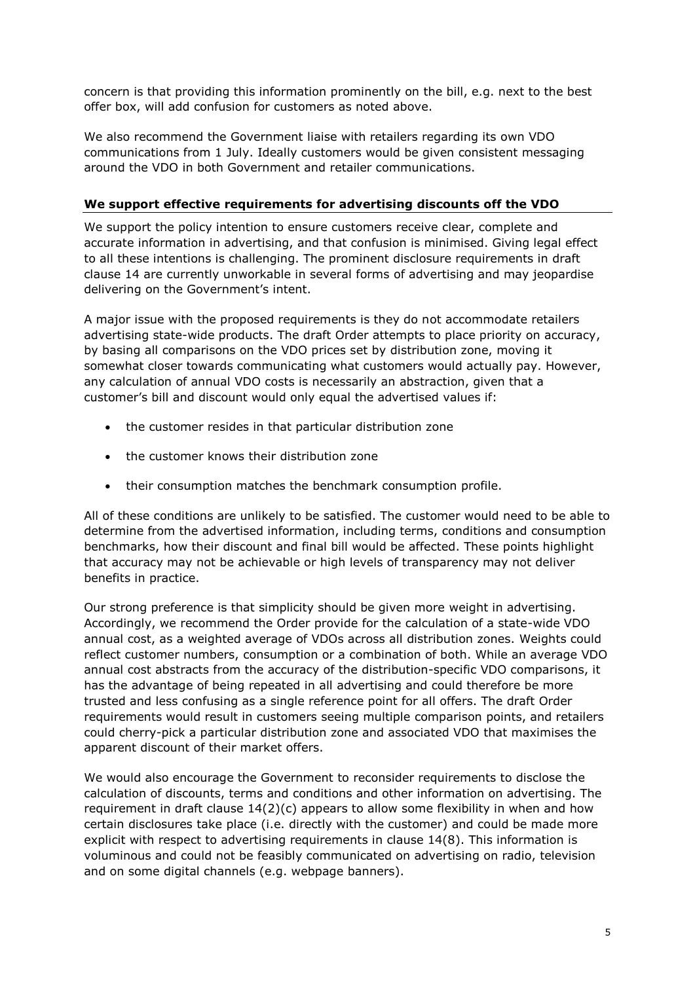concern is that providing this information prominently on the bill, e.g. next to the best offer box, will add confusion for customers as noted above.

We also recommend the Government liaise with retailers regarding its own VDO communications from 1 July. Ideally customers would be given consistent messaging around the VDO in both Government and retailer communications.

## **We support effective requirements for advertising discounts off the VDO**

We support the policy intention to ensure customers receive clear, complete and accurate information in advertising, and that confusion is minimised. Giving legal effect to all these intentions is challenging. The prominent disclosure requirements in draft clause 14 are currently unworkable in several forms of advertising and may jeopardise delivering on the Government's intent.

A major issue with the proposed requirements is they do not accommodate retailers advertising state-wide products. The draft Order attempts to place priority on accuracy, by basing all comparisons on the VDO prices set by distribution zone, moving it somewhat closer towards communicating what customers would actually pay. However, any calculation of annual VDO costs is necessarily an abstraction, given that a customer's bill and discount would only equal the advertised values if:

- the customer resides in that particular distribution zone
- the customer knows their distribution zone
- their consumption matches the benchmark consumption profile.

All of these conditions are unlikely to be satisfied. The customer would need to be able to determine from the advertised information, including terms, conditions and consumption benchmarks, how their discount and final bill would be affected. These points highlight that accuracy may not be achievable or high levels of transparency may not deliver benefits in practice.

Our strong preference is that simplicity should be given more weight in advertising. Accordingly, we recommend the Order provide for the calculation of a state-wide VDO annual cost, as a weighted average of VDOs across all distribution zones. Weights could reflect customer numbers, consumption or a combination of both. While an average VDO annual cost abstracts from the accuracy of the distribution-specific VDO comparisons, it has the advantage of being repeated in all advertising and could therefore be more trusted and less confusing as a single reference point for all offers. The draft Order requirements would result in customers seeing multiple comparison points, and retailers could cherry-pick a particular distribution zone and associated VDO that maximises the apparent discount of their market offers.

We would also encourage the Government to reconsider requirements to disclose the calculation of discounts, terms and conditions and other information on advertising. The requirement in draft clause 14(2)(c) appears to allow some flexibility in when and how certain disclosures take place (i.e. directly with the customer) and could be made more explicit with respect to advertising requirements in clause 14(8). This information is voluminous and could not be feasibly communicated on advertising on radio, television and on some digital channels (e.g. webpage banners).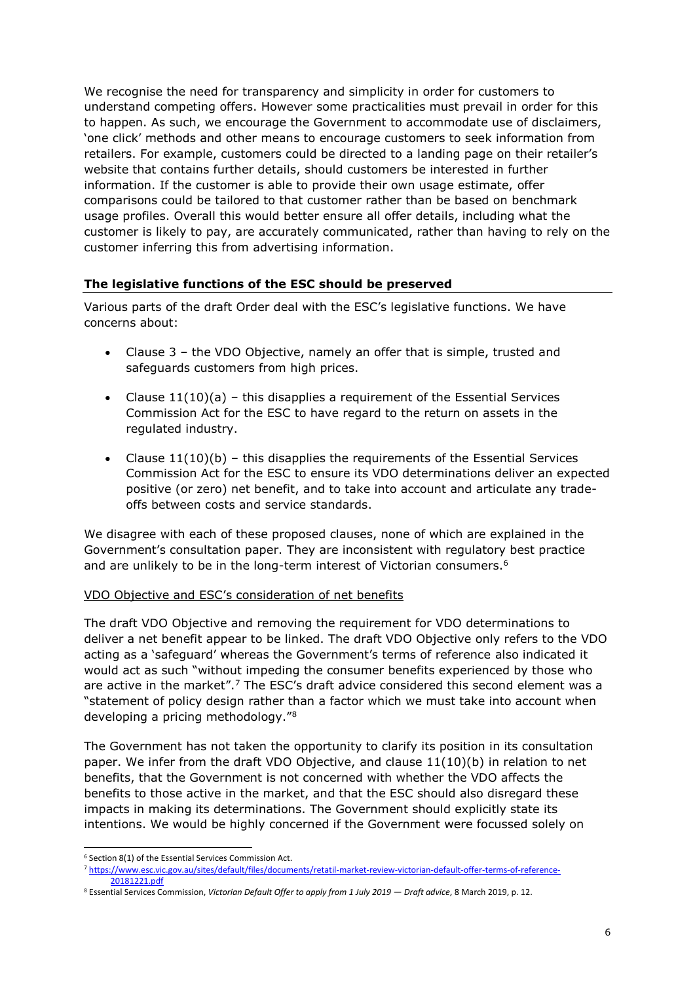We recognise the need for transparency and simplicity in order for customers to understand competing offers. However some practicalities must prevail in order for this to happen. As such, we encourage the Government to accommodate use of disclaimers, 'one click' methods and other means to encourage customers to seek information from retailers. For example, customers could be directed to a landing page on their retailer's website that contains further details, should customers be interested in further information. If the customer is able to provide their own usage estimate, offer comparisons could be tailored to that customer rather than be based on benchmark usage profiles. Overall this would better ensure all offer details, including what the customer is likely to pay, are accurately communicated, rather than having to rely on the customer inferring this from advertising information.

### **The legislative functions of the ESC should be preserved**

Various parts of the draft Order deal with the ESC's legislative functions. We have concerns about:

- Clause 3 the VDO Objective, namely an offer that is simple, trusted and safeguards customers from high prices.
- Clause  $11(10)(a)$  this disapplies a requirement of the Essential Services Commission Act for the ESC to have regard to the return on assets in the regulated industry.
- Clause  $11(10)(b)$  this disapplies the requirements of the Essential Services Commission Act for the ESC to ensure its VDO determinations deliver an expected positive (or zero) net benefit, and to take into account and articulate any tradeoffs between costs and service standards.

We disagree with each of these proposed clauses, none of which are explained in the Government's consultation paper. They are inconsistent with regulatory best practice and are unlikely to be in the long-term interest of Victorian consumers.<sup>6</sup>

### VDO Objective and ESC's consideration of net benefits

The draft VDO Objective and removing the requirement for VDO determinations to deliver a net benefit appear to be linked. The draft VDO Objective only refers to the VDO acting as a 'safeguard' whereas the Government's terms of reference also indicated it would act as such "without impeding the consumer benefits experienced by those who are active in the market".<sup>7</sup> The ESC's draft advice considered this second element was a "statement of policy design rather than a factor which we must take into account when developing a pricing methodology."<sup>8</sup>

The Government has not taken the opportunity to clarify its position in its consultation paper. We infer from the draft VDO Objective, and clause 11(10)(b) in relation to net benefits, that the Government is not concerned with whether the VDO affects the benefits to those active in the market, and that the ESC should also disregard these impacts in making its determinations. The Government should explicitly state its intentions. We would be highly concerned if the Government were focussed solely on

<sup>-</sup><sup>6</sup> Section 8(1) of the Essential Services Commission Act.

<sup>7</sup> https://www.esc.vic.gov.au/sites/default/files/documents/retatil-market-review-victorian-default-offer-terms-of-reference-20181221.pdf

<sup>8</sup> Essential Services Commission, *Victorian Default Offer to apply from 1 July 2019 — Draft advice*, 8 March 2019, p. 12.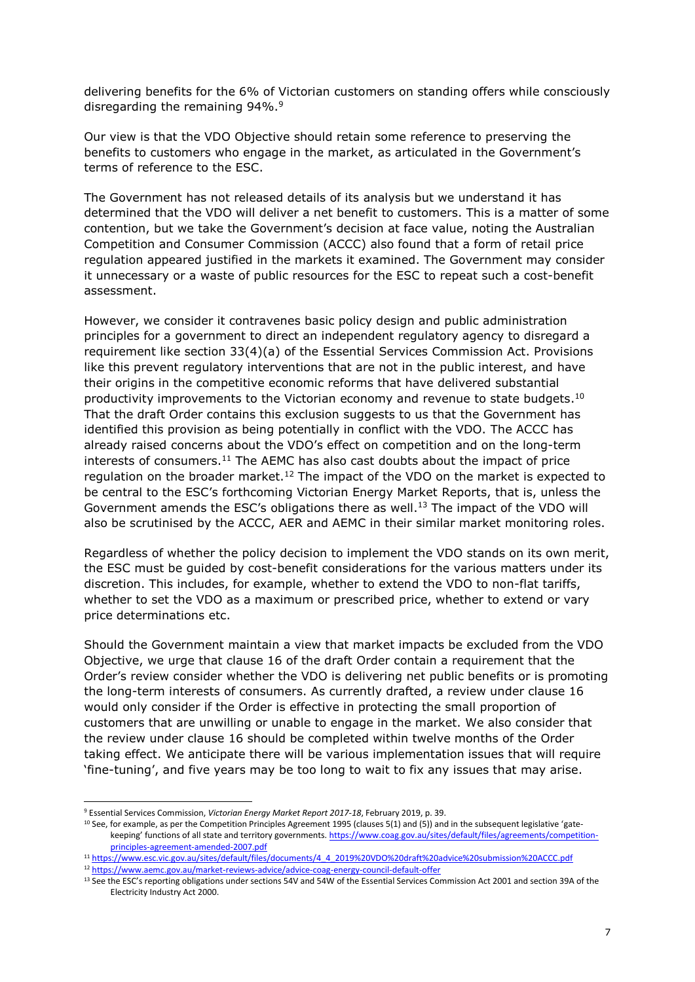delivering benefits for the 6% of Victorian customers on standing offers while consciously disregarding the remaining 94%.<sup>9</sup>

Our view is that the VDO Objective should retain some reference to preserving the benefits to customers who engage in the market, as articulated in the Government's terms of reference to the ESC.

The Government has not released details of its analysis but we understand it has determined that the VDO will deliver a net benefit to customers. This is a matter of some contention, but we take the Government's decision at face value, noting the Australian Competition and Consumer Commission (ACCC) also found that a form of retail price regulation appeared justified in the markets it examined. The Government may consider it unnecessary or a waste of public resources for the ESC to repeat such a cost-benefit assessment.

However, we consider it contravenes basic policy design and public administration principles for a government to direct an independent regulatory agency to disregard a requirement like section 33(4)(a) of the Essential Services Commission Act. Provisions like this prevent regulatory interventions that are not in the public interest, and have their origins in the competitive economic reforms that have delivered substantial productivity improvements to the Victorian economy and revenue to state budgets.<sup>10</sup> That the draft Order contains this exclusion suggests to us that the Government has identified this provision as being potentially in conflict with the VDO. The ACCC has already raised concerns about the VDO's effect on competition and on the long-term interests of consumers. $11$  The AEMC has also cast doubts about the impact of price regulation on the broader market.<sup>12</sup> The impact of the VDO on the market is expected to be central to the ESC's forthcoming Victorian Energy Market Reports, that is, unless the Government amends the ESC's obligations there as well.<sup>13</sup> The impact of the VDO will also be scrutinised by the ACCC, AER and AEMC in their similar market monitoring roles.

Regardless of whether the policy decision to implement the VDO stands on its own merit, the ESC must be guided by cost-benefit considerations for the various matters under its discretion. This includes, for example, whether to extend the VDO to non-flat tariffs, whether to set the VDO as a maximum or prescribed price, whether to extend or vary price determinations etc.

Should the Government maintain a view that market impacts be excluded from the VDO Objective, we urge that clause 16 of the draft Order contain a requirement that the Order's review consider whether the VDO is delivering net public benefits or is promoting the long-term interests of consumers. As currently drafted, a review under clause 16 would only consider if the Order is effective in protecting the small proportion of customers that are unwilling or unable to engage in the market. We also consider that the review under clause 16 should be completed within twelve months of the Order taking effect. We anticipate there will be various implementation issues that will require 'fine-tuning', and five years may be too long to wait to fix any issues that may arise.

-

<sup>9</sup> Essential Services Commission, *Victorian Energy Market Report 2017-18*, February 2019, p. 39.

 $10$  See, for example, as per the Competition Principles Agreement 1995 (clauses 5(1) and (5)) and in the subsequent legislative 'gatekeeping' functions of all state and territory governments. https://www.coag.gov.au/sites/default/files/agreements/competitionprinciples-agreement-amended-2007.pdf

<sup>11</sup> https://www.esc.vic.gov.au/sites/default/files/documents/4\_4\_2019%20VDO%20draft%20advice%20submission%20ACCC.pdf <sup>12</sup> https://www.aemc.gov.au/market-reviews-advice/advice-coag-energy-council-default-offer

<sup>&</sup>lt;sup>13</sup> See the ESC's reporting obligations under sections 54V and 54W of the Essential Services Commission Act 2001 and section 39A of the Electricity Industry Act 2000.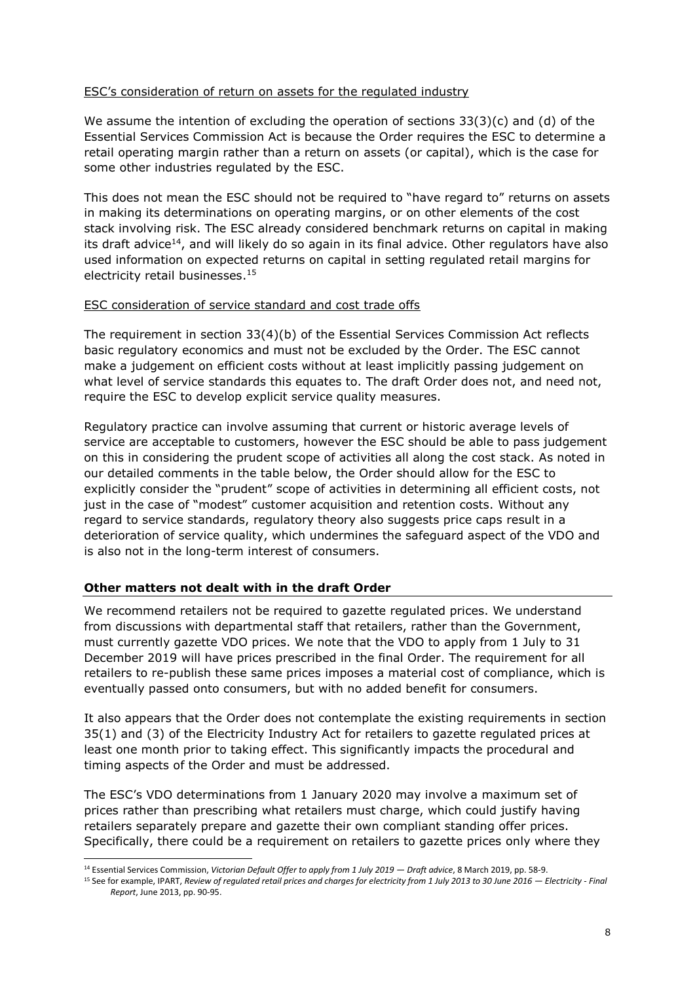#### ESC's consideration of return on assets for the regulated industry

We assume the intention of excluding the operation of sections 33(3)(c) and (d) of the Essential Services Commission Act is because the Order requires the ESC to determine a retail operating margin rather than a return on assets (or capital), which is the case for some other industries regulated by the ESC.

This does not mean the ESC should not be required to "have regard to" returns on assets in making its determinations on operating margins, or on other elements of the cost stack involving risk. The ESC already considered benchmark returns on capital in making its draft advice<sup>14</sup>, and will likely do so again in its final advice. Other regulators have also used information on expected returns on capital in setting regulated retail margins for electricity retail businesses. 15

### ESC consideration of service standard and cost trade offs

The requirement in section 33(4)(b) of the Essential Services Commission Act reflects basic regulatory economics and must not be excluded by the Order. The ESC cannot make a judgement on efficient costs without at least implicitly passing judgement on what level of service standards this equates to. The draft Order does not, and need not, require the ESC to develop explicit service quality measures.

Regulatory practice can involve assuming that current or historic average levels of service are acceptable to customers, however the ESC should be able to pass judgement on this in considering the prudent scope of activities all along the cost stack. As noted in our detailed comments in the table below, the Order should allow for the ESC to explicitly consider the "prudent" scope of activities in determining all efficient costs, not just in the case of "modest" customer acquisition and retention costs. Without any regard to service standards, regulatory theory also suggests price caps result in a deterioration of service quality, which undermines the safeguard aspect of the VDO and is also not in the long-term interest of consumers.

#### **Other matters not dealt with in the draft Order**

We recommend retailers not be required to gazette regulated prices. We understand from discussions with departmental staff that retailers, rather than the Government, must currently gazette VDO prices. We note that the VDO to apply from 1 July to 31 December 2019 will have prices prescribed in the final Order. The requirement for all retailers to re-publish these same prices imposes a material cost of compliance, which is eventually passed onto consumers, but with no added benefit for consumers.

It also appears that the Order does not contemplate the existing requirements in section 35(1) and (3) of the Electricity Industry Act for retailers to gazette regulated prices at least one month prior to taking effect. This significantly impacts the procedural and timing aspects of the Order and must be addressed.

The ESC's VDO determinations from 1 January 2020 may involve a maximum set of prices rather than prescribing what retailers must charge, which could justify having retailers separately prepare and gazette their own compliant standing offer prices. Specifically, there could be a requirement on retailers to gazette prices only where they

<sup>-</sup><sup>14</sup> Essential Services Commission, *Victorian Default Offer to apply from 1 July 2019 — Draft advice*, 8 March 2019, pp. 58-9.

<sup>15</sup> See for example, IPART, *Review of regulated retail prices and charges for electricity from 1 July 2013 to 30 June 2016 — Electricity - Final Report*, June 2013, pp. 90-95.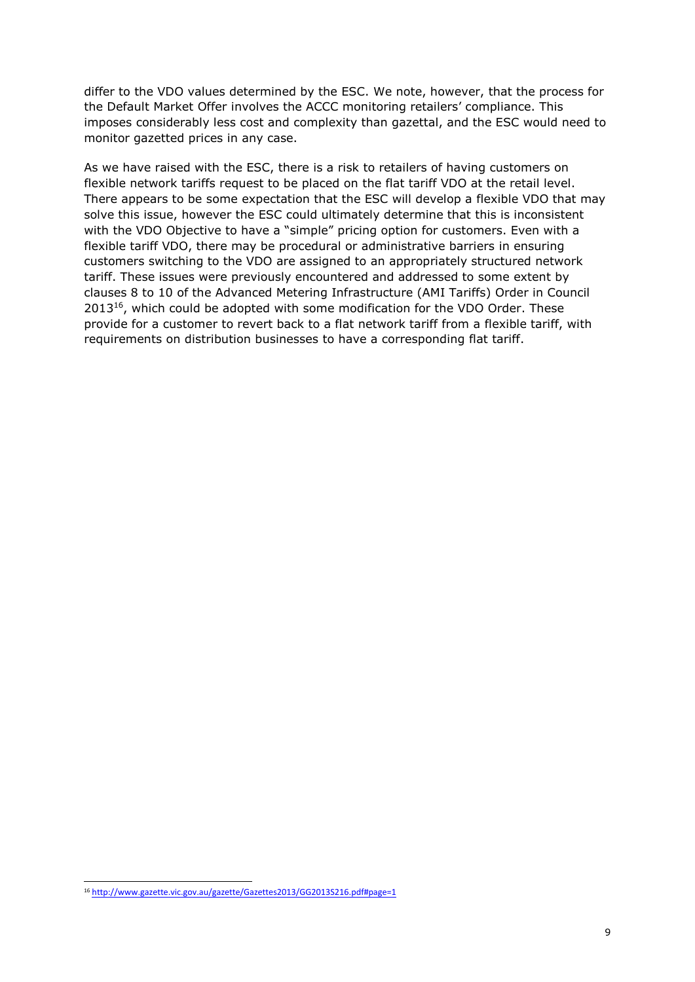differ to the VDO values determined by the ESC. We note, however, that the process for the Default Market Offer involves the ACCC monitoring retailers' compliance. This imposes considerably less cost and complexity than gazettal, and the ESC would need to monitor gazetted prices in any case.

As we have raised with the ESC, there is a risk to retailers of having customers on flexible network tariffs request to be placed on the flat tariff VDO at the retail level. There appears to be some expectation that the ESC will develop a flexible VDO that may solve this issue, however the ESC could ultimately determine that this is inconsistent with the VDO Objective to have a "simple" pricing option for customers. Even with a flexible tariff VDO, there may be procedural or administrative barriers in ensuring customers switching to the VDO are assigned to an appropriately structured network tariff. These issues were previously encountered and addressed to some extent by clauses 8 to 10 of the Advanced Metering Infrastructure (AMI Tariffs) Order in Council  $2013^{16}$ , which could be adopted with some modification for the VDO Order. These provide for a customer to revert back to a flat network tariff from a flexible tariff, with requirements on distribution businesses to have a corresponding flat tariff.

-

<sup>&</sup>lt;sup>16</sup> http://www.gazette.vic.gov.au/gazette/Gazettes2013/GG2013S216.pdf#page=1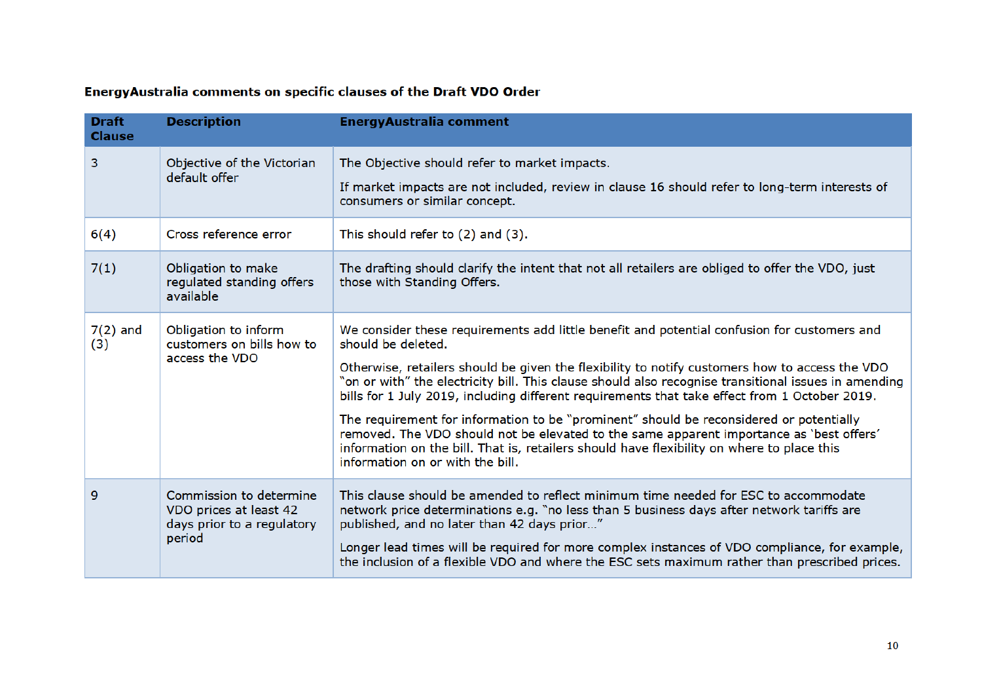# EnergyAustralia comments on specific clauses of the Draft VDO Order

| <b>Draft</b><br><b>Clause</b> | <b>Description</b>                                                                        | <b>EnergyAustralia comment</b>                                                                                                                                                                                                                                                                                                                                                                                                                                                                                                                                                                                                                                                                                                                        |
|-------------------------------|-------------------------------------------------------------------------------------------|-------------------------------------------------------------------------------------------------------------------------------------------------------------------------------------------------------------------------------------------------------------------------------------------------------------------------------------------------------------------------------------------------------------------------------------------------------------------------------------------------------------------------------------------------------------------------------------------------------------------------------------------------------------------------------------------------------------------------------------------------------|
| 3                             | Objective of the Victorian<br>default offer                                               | The Objective should refer to market impacts.<br>If market impacts are not included, review in clause 16 should refer to long-term interests of<br>consumers or similar concept.                                                                                                                                                                                                                                                                                                                                                                                                                                                                                                                                                                      |
| 6(4)                          | Cross reference error                                                                     | This should refer to (2) and (3).                                                                                                                                                                                                                                                                                                                                                                                                                                                                                                                                                                                                                                                                                                                     |
| 7(1)                          | Obligation to make<br>regulated standing offers<br>available                              | The drafting should clarify the intent that not all retailers are obliged to offer the VDO, just<br>those with Standing Offers.                                                                                                                                                                                                                                                                                                                                                                                                                                                                                                                                                                                                                       |
| $7(2)$ and<br>(3)             | Obligation to inform<br>customers on bills how to<br>access the VDO                       | We consider these requirements add little benefit and potential confusion for customers and<br>should be deleted.<br>Otherwise, retailers should be given the flexibility to notify customers how to access the VDO<br>"on or with" the electricity bill. This clause should also recognise transitional issues in amending<br>bills for 1 July 2019, including different requirements that take effect from 1 October 2019.<br>The requirement for information to be "prominent" should be reconsidered or potentially<br>removed. The VDO should not be elevated to the same apparent importance as 'best offers'<br>information on the bill. That is, retailers should have flexibility on where to place this<br>information on or with the bill. |
| 9                             | Commission to determine<br>VDO prices at least 42<br>days prior to a regulatory<br>period | This clause should be amended to reflect minimum time needed for ESC to accommodate<br>network price determinations e.g. "no less than 5 business days after network tariffs are<br>published, and no later than 42 days prior"<br>Longer lead times will be required for more complex instances of VDO compliance, for example,<br>the inclusion of a flexible VDO and where the ESC sets maximum rather than prescribed prices.                                                                                                                                                                                                                                                                                                                     |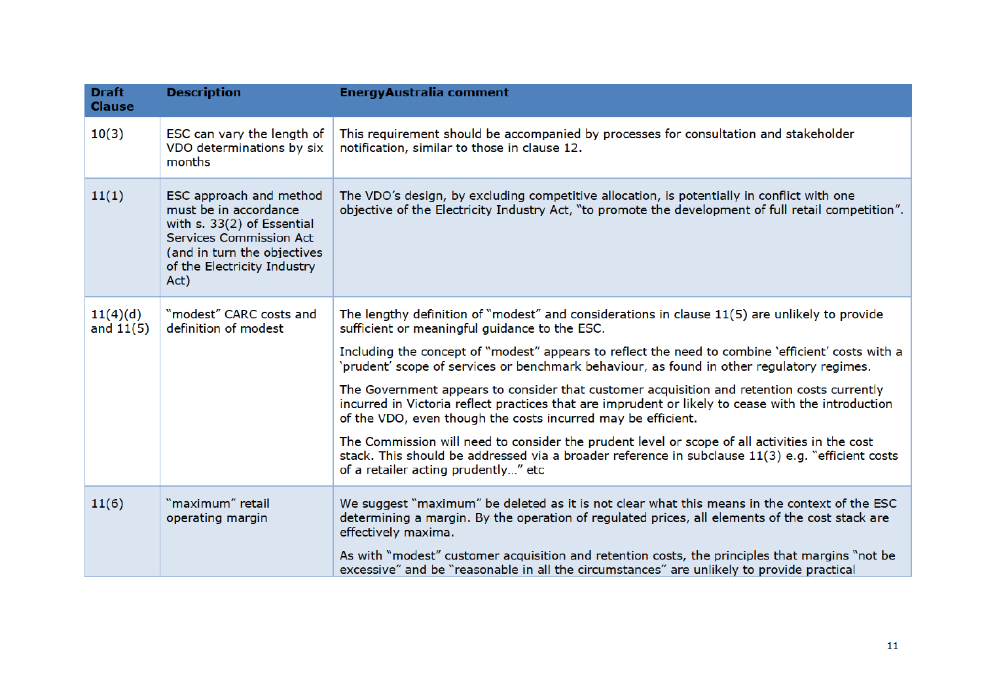| <b>Draft</b><br><b>Clause</b> | <b>Description</b>                                                                                                                                                                     | <b>EnergyAustralia comment</b>                                                                                                                                                                                                                                                                                                                                                                                                                                                                                                                                                                                                                                                                                                                                                                                                                                     |
|-------------------------------|----------------------------------------------------------------------------------------------------------------------------------------------------------------------------------------|--------------------------------------------------------------------------------------------------------------------------------------------------------------------------------------------------------------------------------------------------------------------------------------------------------------------------------------------------------------------------------------------------------------------------------------------------------------------------------------------------------------------------------------------------------------------------------------------------------------------------------------------------------------------------------------------------------------------------------------------------------------------------------------------------------------------------------------------------------------------|
| 10(3)                         | ESC can vary the length of<br>VDO determinations by six<br>months                                                                                                                      | This requirement should be accompanied by processes for consultation and stakeholder<br>notification, similar to those in clause 12.                                                                                                                                                                                                                                                                                                                                                                                                                                                                                                                                                                                                                                                                                                                               |
| 11(1)                         | ESC approach and method<br>must be in accordance<br>with s. 33(2) of Essential<br><b>Services Commission Act</b><br>(and in turn the objectives<br>of the Electricity Industry<br>Act) | The VDO's design, by excluding competitive allocation, is potentially in conflict with one<br>objective of the Electricity Industry Act, "to promote the development of full retail competition".                                                                                                                                                                                                                                                                                                                                                                                                                                                                                                                                                                                                                                                                  |
| 11(4)(d)<br>and $11(5)$       | "modest" CARC costs and<br>definition of modest                                                                                                                                        | The lengthy definition of "modest" and considerations in clause $11(5)$ are unlikely to provide<br>sufficient or meaningful guidance to the ESC.<br>Including the concept of "modest" appears to reflect the need to combine 'efficient' costs with a<br>'prudent' scope of services or benchmark behaviour, as found in other regulatory regimes.<br>The Government appears to consider that customer acquisition and retention costs currently<br>incurred in Victoria reflect practices that are imprudent or likely to cease with the introduction<br>of the VDO, even though the costs incurred may be efficient.<br>The Commission will need to consider the prudent level or scope of all activities in the cost<br>stack. This should be addressed via a broader reference in subclause 11(3) e.g. "efficient costs<br>of a retailer acting prudently" etc |
| 11(6)                         | "maximum" retail<br>operating margin                                                                                                                                                   | We suggest "maximum" be deleted as it is not clear what this means in the context of the ESC<br>determining a margin. By the operation of regulated prices, all elements of the cost stack are<br>effectively maxima.<br>As with "modest" customer acquisition and retention costs, the principles that margins "not be<br>excessive" and be "reasonable in all the circumstances" are unlikely to provide practical                                                                                                                                                                                                                                                                                                                                                                                                                                               |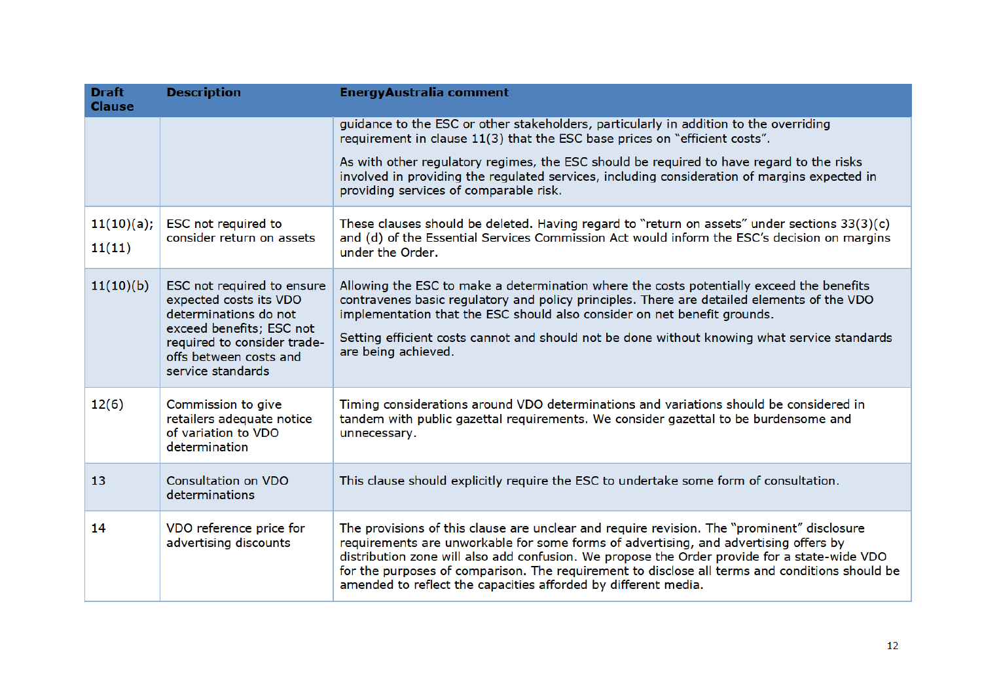| <b>Draft</b><br><b>Clause</b> | <b>Description</b>                                                                                                                                                                      | <b>EnergyAustralia comment</b>                                                                                                                                                                                                                                                                                                                                                                                                                         |
|-------------------------------|-----------------------------------------------------------------------------------------------------------------------------------------------------------------------------------------|--------------------------------------------------------------------------------------------------------------------------------------------------------------------------------------------------------------------------------------------------------------------------------------------------------------------------------------------------------------------------------------------------------------------------------------------------------|
|                               |                                                                                                                                                                                         | guidance to the ESC or other stakeholders, particularly in addition to the overriding<br>requirement in clause 11(3) that the ESC base prices on "efficient costs".                                                                                                                                                                                                                                                                                    |
|                               |                                                                                                                                                                                         | As with other regulatory regimes, the ESC should be reguired to have regard to the risks<br>involved in providing the regulated services, including consideration of margins expected in<br>providing services of comparable risk.                                                                                                                                                                                                                     |
| 11(10)(a);<br>11(11)          | ESC not required to<br>consider return on assets                                                                                                                                        | These clauses should be deleted. Having regard to "return on assets" under sections $33(3)(c)$<br>and (d) of the Essential Services Commission Act would inform the ESC's decision on margins<br>under the Order.                                                                                                                                                                                                                                      |
| 11(10)(b)                     | ESC not required to ensure<br>expected costs its VDO<br>determinations do not<br>exceed benefits; ESC not<br>required to consider trade-<br>offs between costs and<br>service standards | Allowing the ESC to make a determination where the costs potentially exceed the benefits<br>contravenes basic regulatory and policy principles. There are detailed elements of the VDO<br>implementation that the ESC should also consider on net benefit grounds.<br>Setting efficient costs cannot and should not be done without knowing what service standards<br>are being achieved.                                                              |
| 12(6)                         | Commission to give<br>retailers adequate notice<br>of variation to VDO<br>determination                                                                                                 | Timing considerations around VDO determinations and variations should be considered in<br>tandem with public gazettal requirements. We consider gazettal to be burdensome and<br>unnecessary.                                                                                                                                                                                                                                                          |
| 13                            | <b>Consultation on VDO</b><br>determinations                                                                                                                                            | This clause should explicitly require the ESC to undertake some form of consultation.                                                                                                                                                                                                                                                                                                                                                                  |
| 14                            | VDO reference price for<br>advertising discounts                                                                                                                                        | The provisions of this clause are unclear and require revision. The "prominent" disclosure<br>requirements are unworkable for some forms of advertising, and advertising offers by<br>distribution zone will also add confusion. We propose the Order provide for a state-wide VDO<br>for the purposes of comparison. The requirement to disclose all terms and conditions should be<br>amended to reflect the capacities afforded by different media. |